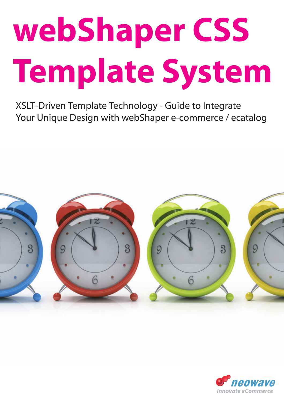# **webShaper CSS Template System**

XSLT-Driven Template Technology - Guide to Integrate Your Unique Design with webShaper e-commerce / ecatalog



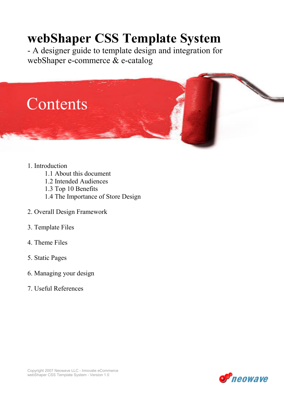# webShaper CSS Template System

- A designer guide to template design and integration for webShaper e-commerce & e-catalog



- 1. Introduction
	- 1.1 About this document
	- 1.2 Intended Audiences
	- 1.3 Top 10 Benefits
	- 1.4 The Importance of Store Design
- 2. Overall Design Framework
- 3. Template Files
- 4. Theme Files
- 5. Static Pages
- 6. Managing your design
- 7. Useful References

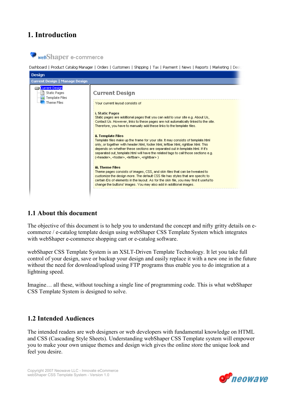# 1. Introduction



Dashboard | Product Catalog Manager | Orders | Customers | Shipping | Tax | Payment | News | Reports | Marketing | Desi



# 1.1 About this document

The objective of this document is to help you to understand the concept and nifty gritty details on ecommerce / e-catalog template design using webShaper CSS Template System which integrates with webShaper e-commerce shopping cart or e-catalog software.

webShaper CSS Template System is an XSLT-Driven Template Technology. It let you take full control of your design, save or backup your design and easily replace it with a new one in the future without the need for download/upload using FTP programs thus enable you to do integration at a lightning speed.

Imagine… all these, without touching a single line of programming code. This is what webShaper CSS Template System is designed to solve.

# 1.2 Intended Audiences

The intended readers are web designers or web developers with fundamental knowledge on HTML and CSS (Cascading Style Sheets). Understanding webShaper CSS Template system will empower you to make your own unique themes and design wich gives the online store the unique look and feel you desire.

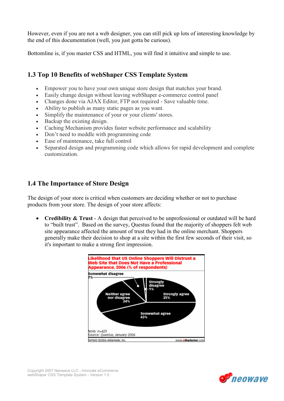However, even if you are not a web designer, you can still pick up lots of interesting knowledge by the end of this documentation (well, you just gotta be curious).

Bottomline is, if you master CSS and HTML, you will find it intuitive and simple to use.

# 1.3 Top 10 Benefits of webShaper CSS Template System

- Empower you to have your own unique store design that matches your brand.
- Easily change design without leaving webShaper e-commerce control panel
- Changes done via AJAX Editor, FTP not required Save valuable time.
- Ability to publish as many static pages as you want.
- Simplify the maintenance of your or your clients' stores.
- Backup the existing design.
- Caching Mechanism provides faster website performance and scalability
- Don't need to meddle with programming code
- Ease of maintenance, take full control
- Separated design and programming code which allows for rapid development and complete customization.

# 1.4 The Importance of Store Design

The design of your store is critical when customers are deciding whether or not to purchase products from your store. The design of your store affects:

• Credibility & Trust - A design that perceived to be unprofessional or outdated will be hard to "built trust". Based on the survey, Questus found that the majority of shoppers felt web site appearance affected the amount of trust they had in the online merchant. Shoppers generally make their decision to shop at a site within the first few seconds of their visit, so it's important to make a strong first impression.

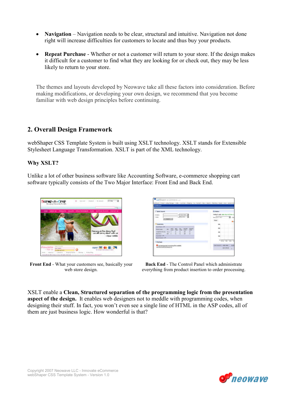- Navigation Navigation needs to be clear, structural and intuitive. Navigation not done right will increase difficulties for customers to locate and thus buy your products.
- Repeat Purchase Whether or not a customer will return to your store. If the design makes it difficult for a customer to find what they are looking for or check out, they may be less likely to return to your store.

The themes and layouts developed by Neowave take all these factors into consideration. Before making modifications, or developing your own design, we recommend that you become familiar with web design principles before continuing.

# 2. Overall Design Framework

webShaper CSS Template System is built using XSLT technology. XSLT stands for Extensible Stylesheet Language Transformation. XSLT is part of the XML technology.

# Why XSLT?

Unlike a lot of other business software like Accounting Software, e-commerce shopping cart software typically consists of the Two Major Interface: Front End and Back End.



Front End - What your customers see, basically your web store design.

| <b>Burkout</b>                                                                                                                    |                                                        |
|-----------------------------------------------------------------------------------------------------------------------------------|--------------------------------------------------------|
| <b>Kedala Grounds</b><br><b>SAILTER</b><br>э<br>- Incorporate<br>$\cdots$<br><b>Septimant</b><br><b>EVALUATE</b><br>ALCOHOL: U.S. | <b>Lithelman</b><br>911 Phill 14 TF<br>and Build Color |
| OBJEVE RELOC<br><b>Bulle Far III</b><br>$-0.011$<br><b>Call Account in B</b><br><b>CONTRACTOR</b>                                 | GLASS TANK                                             |
| <b>Inchines</b><br>メール・ストン ウィン<br>decreating to contain.<br>110.54<br>565 AN YEAR OLD                                             | <b>TRAINING #</b><br>$-490198.00$                      |

Back End - The Control Panel which administrate everything from product insertion to order processing.

XSLT enable a Clean, Structured separation of the programming logic from the presentation aspect of the design. It enables web designers not to meddle with programming codes, when designing their stuff. In fact, you won't even see a single line of HTML in the ASP codes, all of them are just business logic. How wonderful is that?

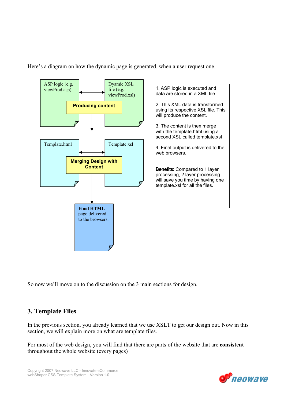Here's a diagram on how the dynamic page is generated, when a user request one.



So now we'll move on to the discussion on the 3 main sections for design.

# 3. Template Files

In the previous section, you already learned that we use XSLT to get our design out. Now in this section, we will explain more on what are template files.

For most of the web design, you will find that there are parts of the website that are consistent throughout the whole website (every pages)

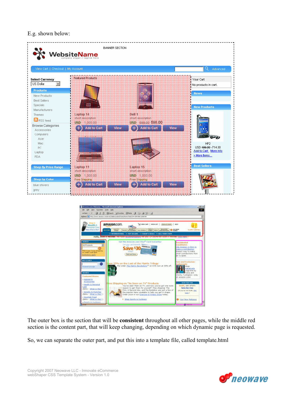E.g. shown below:



The outer box is the section that will be consistent throughout all other pages, while the middle red section is the content part, that will keep changing, depending on which dynamic page is requested.

**O** Your New Falcones

So, we can separate the outer part, and put this into a template file, called template.html

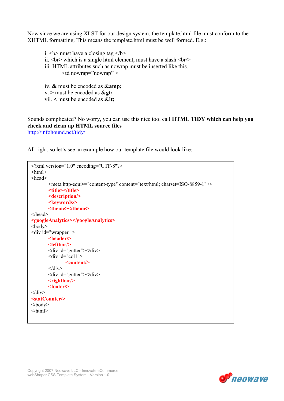Now since we are using XLST for our design system, the template.html file must conform to the XHTML formatting. This means the template.html must be well formed. E.g.:

i.  **must have a closing tag**  $<$ **/b** $>$ ii.  $\text{Br}$  which is a single html element, must have a slash  $\text{Br}$  /> iii. HTML attributes such as nowrap must be inserted like this.  $lt$ td nowrap="nowrap" > iv. & must be encoded as **&amp**;  $v \geq$  must be encoded as  $\&$  gt; vii.  $\leq$  must be encoded as  $<$  lt:

Sounds complicated? No worry, you can use this nice tool call HTML TIDY which can help you check and clean up HTML source files http://infohound.net/tidy/

All right, so let's see an example how our template file would look like:

```
<?xml version="1.0" encoding="UTF-8"?> 
\text{thm}<head> 
         <meta http-equiv="content-type" content="text/html; charset=ISO-8859-1" /> 
        <title></title>
         <description/> 
        <keywords/>
         <theme></theme> 
</head> 
<googleAnalytics></googleAnalytics>
<body> 
\leqdiv id="wrapper" >
        <header/> 
         <leftbar/> 
        \langlediv id="gutter">\langlediv>
         <div id="col1"> 
                <content/> 
        \langlediv> <div id="gutter"></div> 
        <rightbar/> 
         <footer/> 
\langlediv><statCounter/> 
</body>
\langlehtml>
```
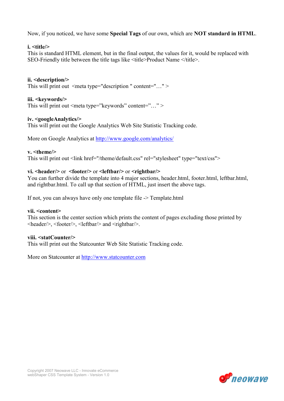Now, if you noticed, we have some Special Tags of our own, which are NOT standard in HTML.

# i. <title/>

This is standard HTML element, but in the final output, the values for it, would be replaced with SEO-Friendly title between the title tags like <title>Product Name </title>.

ii. <description/> This will print out  $\leq$  meta type="description " content="..." >

# iii. <keywords/>

This will print out <meta type="keywords" content="..." >

# iv. <googleAnalytics/>

This will print out the Google Analytics Web Site Statistic Tracking code.

More on Google Analytics at http://www.google.com/analytics/

# v. <theme/>

This will print out <link href="/theme/default.css" rel="stylesheet" type="text/css">

# vi.  $\langle \text{header} \rangle$  or  $\langle \text{footer} \rangle$  or  $\langle \text{leftbar} \rangle$  or  $\langle \text{rightbar} \rangle$

You can further divide the template into 4 major sections, header.html, footer.html, leftbar.html, and rightbar.html. To call up that section of HTML, just insert the above tags.

If not, you can always have only one template file -> Template.html

### vii. <content>

This section is the center section which prints the content of pages excluding those printed by <header/>, <footer/>, <leftbar/> and <rightbar/>.

### viii. <statCounter/>

This will print out the Statcounter Web Site Statistic Tracking code.

More on Statcounter at http://www.statcounter.com

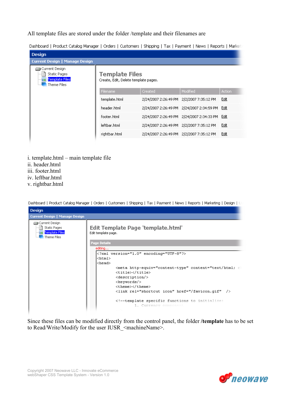All template files are stored under the folder /template and their filenames are

Dashboard | Product Catalog Manager | Orders | Customers | Shipping | Tax | Payment | News | Reports | Marketi

| <b>Design</b>                                                                    |                                                        |                                          |                      |               |
|----------------------------------------------------------------------------------|--------------------------------------------------------|------------------------------------------|----------------------|---------------|
| <b>Current Design   Manage Design</b>                                            |                                                        |                                          |                      |               |
| ⊒) Current Design<br><b>Static Pages</b><br><b>Template Files</b><br>Theme Files | Template Files<br>Create, Edit, Delete template pages. |                                          |                      |               |
|                                                                                  | Filename                                               | Created                                  | Modified             | <b>Action</b> |
|                                                                                  | template.html                                          | 2/24/2007 2:26:49 PM                     | 2/2/2007 7:35:12 PM  | Edit          |
|                                                                                  | header.html                                            | 2/24/2007 2:26:49 PM                     | 2/24/2007 2:34:59 PM | Edit          |
|                                                                                  | footer.html                                            | 2/24/2007 2:26:49 PM                     | 2/24/2007 2:34:33 PM | Edit          |
|                                                                                  | leftbar.html                                           | 2/24/2007 2:26:49 PM                     | 2/2/2007 7:35:12 PM  | Edit          |
|                                                                                  | rightbar.html                                          | 2/24/2007 2:26:49 PM 2/2/2007 7:35:12 PM |                      | Edit          |
|                                                                                  |                                                        |                                          |                      |               |

- i. template.html main template file
- ii. header.html
- iii. footer.html
- iv. leftbar.html
- v. rightbar.html



Since these files can be modified directly from the control panel, the folder /template has to be set to Read/Write/Modify for the user IUSR <machineName>.

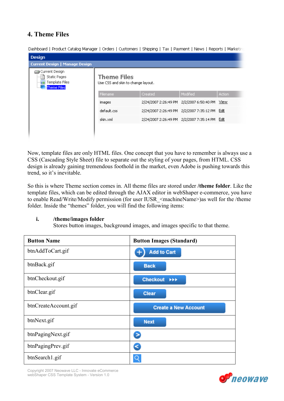# 4. Theme Files

Dashboard | Product Catalog Manager | Orders | Customers | Shipping | Tax | Payment | News | Reports | Marketin **Design Current Design | Manage Design** Current Design **同** Static Pages **Theme Files** Template Files Use CSS and skin to change layout. **Theme Files** 2/24/2007 2:26:49 PM 2/2/2007 6:50:40 PM View images default.css 2/24/2007 2:26:49 PM 2/2/2007 7:35:12 PM Edit skin. xml 2/24/2007 2:26:49 PM 2/2/2007 7:35:14 PM Edit

Now, template files are only HTML files. One concept that you have to remember is always use a CSS (Cascading Style Sheet) file to separate out the styling of your pages, from HTML. CSS design is already gaining tremendous foothold in the market, even Adobe is pushing towards this trend, so it's inevitable.

So this is where Theme section comes in. All theme files are stored under /theme folder. Like the template files, which can be edited through the AJAX editor in webShaper e-commerce, you have to enable Read/Write/Modify permission (for user IUSR <machineName>)as well for the /theme folder. Inside the "themes" folder, you will find the following items:

# i. /theme/images folder

Stores button images, background images, and images specific to that theme.

| <b>Button Name</b>   | <b>Button Images (Standard)</b> |
|----------------------|---------------------------------|
| btnAddToCart.gif     | <b>Add to Cart</b>              |
| btnBack.gif          | <b>Back</b>                     |
| btnCheckout.gif      | Checkout <b>&gt;&gt;&gt;</b>    |
| btnClear.gif         | <b>Clear</b>                    |
| btnCreateAccount.gif | <b>Create a New Account</b>     |
| btnNext.gif          | <b>Next</b>                     |
| btnPagingNext.gif    | Σ                               |
| btnPagingPrev.gif    | s                               |
| btnSearch1.gif       |                                 |

Copyright 2007 Neowave LLC - Innovate eCommerce webShaper CSS Template System - Version 1.0

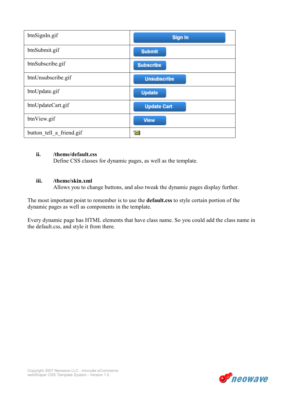| btnSignIn.gif            | <b>Sign In</b>     |
|--------------------------|--------------------|
| btnSubmit.gif            | <b>Submit</b>      |
| btnSubscribe.gif         | <b>Subscribe</b>   |
| btnUnsubscribe.gif       | <b>Unsubscribe</b> |
| btnUpdate.gif            | <b>Update</b>      |
| btnUpdateCart.gif        | <b>Update Cart</b> |
| btnView.gif              | <b>View</b>        |
| button tell a friend gif | $\mathbb{M}$       |

# ii. /theme/default.css

Define CSS classes for dynamic pages, as well as the template.

# iii. /theme/skin.xml

Allows you to change buttons, and also tweak the dynamic pages display further.

The most important point to remember is to use the default.css to style certain portion of the dynamic pages as well as components in the template.

Every dynamic page has HTML elements that have class name. So you could add the class name in the default.css, and style it from there.

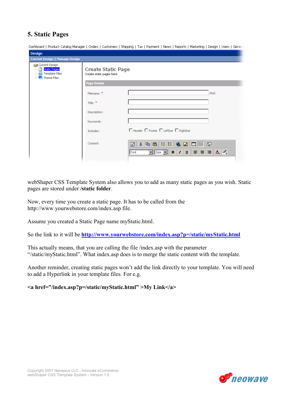# 5. Static Pages

|  |  |  |  |  | Dashboard   Product Catalog Manager   Orders   Customers   Shipping   Tax   Payment   News   Reports   Marketing   Design   Users   General |
|--|--|--|--|--|---------------------------------------------------------------------------------------------------------------------------------------------|
|--|--|--|--|--|---------------------------------------------------------------------------------------------------------------------------------------------|

| Design                                                                 |                                                 |                                                                                                                                                                                                                                                                                                                                                                                                                                                                                                                                                                                                                                                                                                                                                                                                                                                                                                               |
|------------------------------------------------------------------------|-------------------------------------------------|---------------------------------------------------------------------------------------------------------------------------------------------------------------------------------------------------------------------------------------------------------------------------------------------------------------------------------------------------------------------------------------------------------------------------------------------------------------------------------------------------------------------------------------------------------------------------------------------------------------------------------------------------------------------------------------------------------------------------------------------------------------------------------------------------------------------------------------------------------------------------------------------------------------|
| <b>Current Design   Manage Design</b>                                  |                                                 |                                                                                                                                                                                                                                                                                                                                                                                                                                                                                                                                                                                                                                                                                                                                                                                                                                                                                                               |
| Current Design<br><b>Static Pages</b><br>Template Files<br>Theme Files | Create Static Page<br>Create static pages here. |                                                                                                                                                                                                                                                                                                                                                                                                                                                                                                                                                                                                                                                                                                                                                                                                                                                                                                               |
|                                                                        | <b>Page Details</b>                             |                                                                                                                                                                                                                                                                                                                                                                                                                                                                                                                                                                                                                                                                                                                                                                                                                                                                                                               |
|                                                                        | Filename: *                                     | .html                                                                                                                                                                                                                                                                                                                                                                                                                                                                                                                                                                                                                                                                                                                                                                                                                                                                                                         |
|                                                                        | Title: *                                        |                                                                                                                                                                                                                                                                                                                                                                                                                                                                                                                                                                                                                                                                                                                                                                                                                                                                                                               |
|                                                                        | Description:                                    |                                                                                                                                                                                                                                                                                                                                                                                                                                                                                                                                                                                                                                                                                                                                                                                                                                                                                                               |
|                                                                        | Keywords:                                       |                                                                                                                                                                                                                                                                                                                                                                                                                                                                                                                                                                                                                                                                                                                                                                                                                                                                                                               |
|                                                                        | Includes:                                       | $\Box$ Header $\Box$ Footer $\Box$ Leftbar $\Box$ Rightbar                                                                                                                                                                                                                                                                                                                                                                                                                                                                                                                                                                                                                                                                                                                                                                                                                                                    |
|                                                                        | Content:                                        | $\begin{array}{ll} \hline \rule{0pt}{2pt} \rule{0pt}{2pt} \end{array} \begin{array}{ll} \hline \rule{0pt}{2pt} \rule{0pt}{2pt} \rule{0pt}{2pt} \end{array} \begin{array}{ll} \hline \rule{0pt}{2pt} \rule{0pt}{2pt} \rule{0pt}{2pt} \end{array} \begin{array}{ll} \hline \rule{0pt}{2pt} \rule{0pt}{2pt} \rule{0pt}{2pt} \end{array} \begin{array}{ll} \hline \rule{0pt}{2pt} \rule{0pt}{2pt} \rule{0pt}{2pt} \end{array} \begin{array}{ll} \hline \rule{0pt}{2pt}$<br>$\boxed{\blacksquare \; \mathsf{Size} \; \blacktriangleright\;  \; \mathbf{B} \; \; \mathbf{I} \; \; \mathbf{U}} \;   \; \mathbf{E} \; \equiv \; \mathbf{E} \;  \; \mathbf{A} \; \mathbf{A}, \; \mathbf{A}, \; \mathbf{A} \; \mathbf{A} \; \mathbf{A} \; \mathbf{A} \; \mathbf{A} \; \mathbf{A} \; \mathbf{A} \; \mathbf{A} \; \mathbf{A} \; \mathbf{A} \; \mathbf{A} \; \mathbf{A} \; \mathbf{A} \; \mathbf{A} \; \mathbf{A}$<br>Font |
|                                                                        |                                                 |                                                                                                                                                                                                                                                                                                                                                                                                                                                                                                                                                                                                                                                                                                                                                                                                                                                                                                               |

webShaper CSS Template System also allows you to add as many static pages as you wish. Static pages are stored under /static folder.

Now, every time you create a static page. It has to be called from the http://www.yourwebstore.com/index.asp file.

Assume you created a Static Page name myStatic.html.

So the link to it will be **http://www.yourwebstore.com/index.asp?p=/static/myStatic.html** 

This actually means, that you are calling the file /index.asp with the parameter "/static/myStatic.html". What index.asp does is to merge the static content with the template.

Another reminder, creating static pages won't add the link directly to your template. You will need to add a Hyperlink in your template files. For e.g.

<a href="/index.asp?p=/static/myStatic.html" >My Link</a>

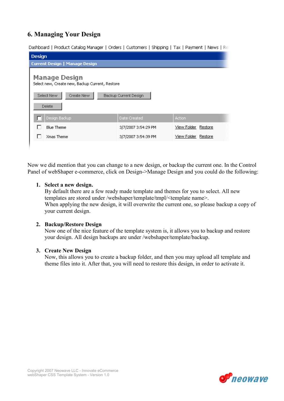# 6. Managing Your Design

Dashboard | Product Catalog Manager | Orders | Customers | Shipping | Tax | Payment | News | Rep

| <b>Design</b>                                                           |                     |                        |  |
|-------------------------------------------------------------------------|---------------------|------------------------|--|
| <b>Current Design   Manage Design</b>                                   |                     |                        |  |
| <b>Manage Design</b><br>Select new, Create new, Backup Current, Restore |                     |                        |  |
| Select New<br>Create New<br>Backup Current Design                       |                     |                        |  |
| Delete                                                                  |                     |                        |  |
| Design Backup                                                           | Date Created        | Action                 |  |
| <b>Blue Theme</b>                                                       | 3/7/2007 3:54:29 PM | View Folder<br>Restore |  |
| Xmas Theme                                                              | 3/7/2007 3:54:39 PM | View Folder<br>Restore |  |
|                                                                         |                     |                        |  |

Now we did mention that you can change to a new design, or backup the current one. In the Control Panel of webShaper e-commerce, click on Design->Manage Design and you could do the following:

# 1. Select a new design.

By default there are a few ready made template and themes for you to select. All new templates are stored under /webshaper/template/tmpl/<template name>. When applying the new design, it will overwrite the current one, so please backup a copy of your current design.

# 2. Backup/Restore Design

Now one of the nice feature of the template system is, it allows you to backup and restore your design. All design backups are under /webshaper/template/backup.

# 3. Create New Design

Now, this allows you to create a backup folder, and then you may upload all template and theme files into it. After that, you will need to restore this design, in order to activate it.

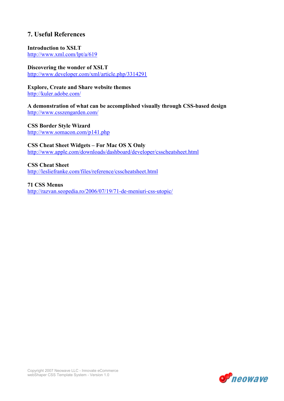# 7. Useful References

# Introduction to XSLT

http://www.xml.com/lpt/a/619

# Discovering the wonder of XSLT

http://www.developer.com/xml/article.php/3314291

# Explore, Create and Share website themes

http://kuler.adobe.com/

A demonstration of what can be accomplished visually through CSS-based design http://www.csszengarden.com/

CSS Border Style Wizard http://www.somacon.com/p141.php

CSS Cheat Sheet Widgets – For Mac OS X Only http://www.apple.com/downloads/dashboard/developer/csscheatsheet.html

CSS Cheat Sheet http://lesliefranke.com/files/reference/csscheatsheet.html

71 CSS Menus http://razvan.seopedia.ro/2006/07/19/71-de-meniuri-css-utopic/

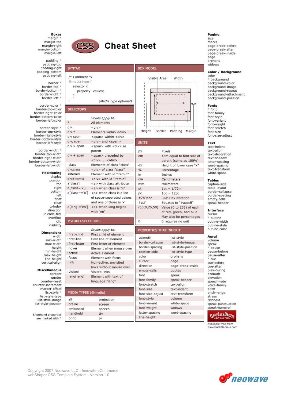### **Boxes**

margin \*<br>margin-top margin-right margin-bottom margin-left

padding \* padding-top padding-right padding-bottom padding-left

border \* border-top \* border-bottom border-right \* border-left \*

border-color \* border-top-color border-right-color border-bottom-color border-left-color

border-style border-top-style border-right-style border-bottom-style border-left-style

border-width border-top-width border-right-width border-bottom-width border-left-width

> Positioning display position top right bottom left float clear z-index direction unicode-bidi overflow clip<br>
> visibility

**Dimensions** 

width min-width max-width height min-height max-height line-height vertical-align

### **Miscellaneous**

content quotes counter-reset counter-increment marker-offset list-style \* list-style-type list-style-image list-style-position

Shorthand properties are marked with



# **Cheat Sheet**

| <b>SYNTAX</b>                  |                                                           | <b>BOX MODEL</b>        |                             |
|--------------------------------|-----------------------------------------------------------|-------------------------|-----------------------------|
| /* Comment */<br>@media type { |                                                           | Visible Area            | Width                       |
| selector {                     | property: values;                                         |                         |                             |
| ł<br>$\mathcal{F}$             | (Media type optional)                                     |                         |                             |
| <b>SELECTORS</b>               |                                                           |                         |                             |
| $\ast$                         | Styles apply to:<br>All elements                          |                         |                             |
| div                            | <div></div>                                               |                         |                             |
| $div *$                        | Elements within <div></div>                               | Height                  | Border<br>Padding<br>Margin |
| div span                       | <span> within <div></div></span>                          |                         |                             |
| div, span                      | <div> and <span></span></div>                             | <b>UNITS</b>            |                             |
| $div >$ span                   | <span> with <div> as<br/>parent</div></span>              | px                      | Pixels                      |
| $div + span$                   | <span> preceded by</span>                                 | em                      | 1em equal to font size of   |
| .class                         | $<$ div> $<$ /div>                                        |                         | parent (same as 100%)       |
| div.class                      | Elements of class "class"<br><div> of class "class"</div> | ex                      | Height of lower case "x"    |
| #itemid                        | Element with id "itemid"                                  | $\%$                    | Percentage                  |
| div#itemid                     | <div> with id "itemid"</div>                              | in                      | Inches                      |
| a[class]                       | <a> with class attribute</a>                              | cm                      | Centimeters                 |
| a[class='x']                   | <a> when class is "x"</a>                                 | mm                      | Millimeters                 |
| a[class~='x']                  | <a> when class is a list</a>                              | pt                      | $1pt = 1/72in$              |
|                                |                                                           | pc                      | $1pc = 12pt$                |
|                                | of space-seperated values                                 | #789abc                 | <b>RGB Hex Notation</b>     |
|                                | and one of those is 'x'                                   | #act                    | Equates to "#aaccff"        |
| $a[$ lang $]='en'$ ]           | <a> when lang begins<br/>with "en"</a>                    | rgb(0,25,50)            | Value (0 to 255) of each    |
|                                |                                                           |                         | of red, green, and blue.    |
|                                |                                                           |                         | May also be percentages     |
| PSEUDO-SELECTORS               |                                                           | 0                       | 0 requires no unit          |
|                                | Styles apply to:                                          | PROPERTIES THAT INHERIT |                             |
| :first-child<br>:first-line    | First child of element                                    | azimuth                 | list-style                  |
| :first-letter                  | First line of element<br>First letter of element          | border-collapse         | list-style-image            |
| :hover                         |                                                           | border-spacing          | list-style-position         |
| :active                        | Element when mouse over<br>Active element                 | caption-side            | list-style-type             |
| :focus                         | Element with focus                                        | color                   | orphans                     |
| $:$ link                       |                                                           | cursor                  | page                        |
|                                | Non-active, unvisited<br>links without mouse over.        | direction               | page-break-inside           |
| :visited                       | Visited links                                             | empty-cells             | quotes                      |
| :lang(lang)                    | Element with text of                                      | font                    | speak                       |
|                                |                                                           | font-family             | speak-header                |
|                                | language "lang"                                           | font-stretch            | text-align                  |
|                                |                                                           | font-size               | text-indent                 |
| MEDIA TYPES (@media)           |                                                           | font-size-adjust        | text-transform              |
| all                            | projection                                                | font-style              | volume                      |
| braille                        | screen                                                    | font-variant            | white-space                 |
| embossed                       | speech                                                    | font-weight             | widows                      |
| handheld                       | tty                                                       | letter-spacing          | word-spacing                |
| print                          | tv                                                        | line-height             |                             |
|                                |                                                           |                         |                             |

### Paging size

marks page-break-before page-break-after page-break-inside page<br>orphans widows

### Color / Background color

\* background background-color background-image background-repeat background-attachment background-position

### Fonts

\* font font-family font-style font-variant font-weight font-stretch font-size font-size-adjust

### Text

text-indent text-align text-decoration text-shadow letter-spacing word-spacing text-transform white-space

### **Tables**

caption-side table-lavout border-collapse border-spacing empty-cells speak-header

### **Interface**

cursor \* outline outline-width outline-style outline-color

### Aural

volume speak \* pause pause-before pause-after \* cue cue-before cue-after play-during azimuth elevation speech-rate voice-family pitch pitch-range stress richness speak-punctuation speak-numeral



Available free from ILoveJackDaniels.com